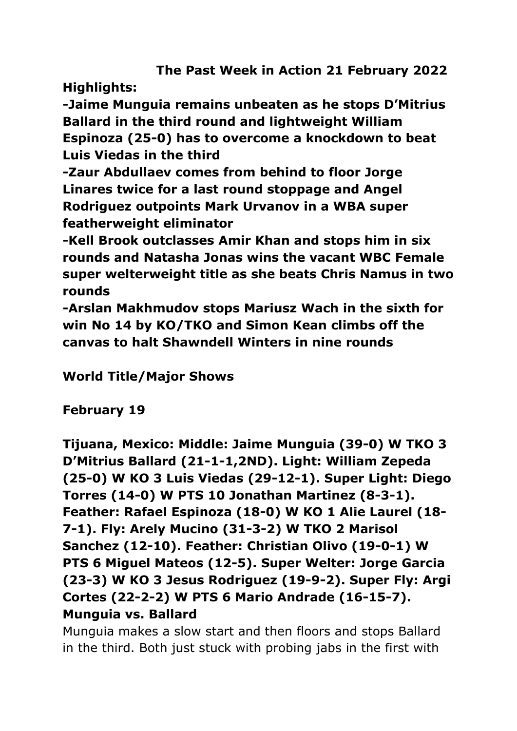**The Past Week in Action 21 February 2022**

**Highlights:**

**-Jaime Munguia remains unbeaten as he stops D'Mitrius Ballard in the third round and lightweight William Espinoza (25-0) has to overcome a knockdown to beat Luis Viedas in the third**

**-Zaur Abdullaev comes from behind to floor Jorge Linares twice for a last round stoppage and Angel Rodriguez outpoints Mark Urvanov in a WBA super featherweight eliminator**

**-Kell Brook outclasses Amir Khan and stops him in six rounds and Natasha Jonas wins the vacant WBC Female super welterweight title as she beats Chris Namus in two rounds** 

**-Arslan Makhmudov stops Mariusz Wach in the sixth for win No 14 by KO/TKO and Simon Kean climbs off the canvas to halt Shawndell Winters in nine rounds**

**World Title/Major Shows**

**February 19**

**Tijuana, Mexico: Middle: Jaime Munguia (39-0) W TKO 3 D'Mitrius Ballard (21-1-1,2ND). Light: William Zepeda (25-0) W KO 3 Luis Viedas (29-12-1). Super Light: Diego Torres (14-0) W PTS 10 Jonathan Martinez (8-3-1). Feather: Rafael Espinoza (18-0) W KO 1 Alie Laurel (18- 7-1). Fly: Arely Mucino (31-3-2) W TKO 2 Marisol Sanchez (12-10). Feather: Christian Olivo (19-0-1) W PTS 6 Miguel Mateos (12-5). Super Welter: Jorge Garcia (23-3) W KO 3 Jesus Rodriguez (19-9-2). Super Fly: Argi Cortes (22-2-2) W PTS 6 Mario Andrade (16-15-7). Munguia vs. Ballard**

Munguia makes a slow start and then floors and stops Ballard in the third. Both just stuck with probing jabs in the first with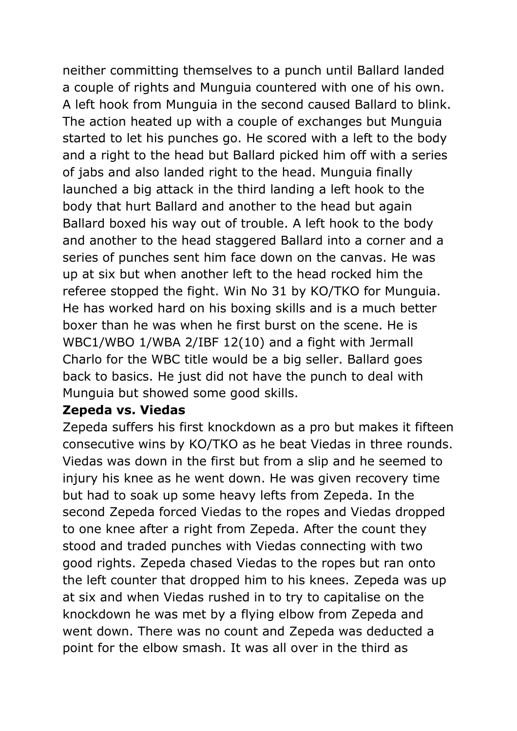neither committing themselves to a punch until Ballard landed a couple of rights and Munguia countered with one of his own. A left hook from Munguia in the second caused Ballard to blink. The action heated up with a couple of exchanges but Munguia started to let his punches go. He scored with a left to the body and a right to the head but Ballard picked him off with a series of jabs and also landed right to the head. Munguia finally launched a big attack in the third landing a left hook to the body that hurt Ballard and another to the head but again Ballard boxed his way out of trouble. A left hook to the body and another to the head staggered Ballard into a corner and a series of punches sent him face down on the canvas. He was up at six but when another left to the head rocked him the referee stopped the fight. Win No 31 by KO/TKO for Munguia. He has worked hard on his boxing skills and is a much better boxer than he was when he first burst on the scene. He is WBC1/WBO 1/WBA 2/IBF 12(10) and a fight with Jermall Charlo for the WBC title would be a big seller. Ballard goes back to basics. He just did not have the punch to deal with Munguia but showed some good skills.

#### **Zepeda vs. Viedas**

Zepeda suffers his first knockdown as a pro but makes it fifteen consecutive wins by KO/TKO as he beat Viedas in three rounds. Viedas was down in the first but from a slip and he seemed to injury his knee as he went down. He was given recovery time but had to soak up some heavy lefts from Zepeda. In the second Zepeda forced Viedas to the ropes and Viedas dropped to one knee after a right from Zepeda. After the count they stood and traded punches with Viedas connecting with two good rights. Zepeda chased Viedas to the ropes but ran onto the left counter that dropped him to his knees. Zepeda was up at six and when Viedas rushed in to try to capitalise on the knockdown he was met by a flying elbow from Zepeda and went down. There was no count and Zepeda was deducted a point for the elbow smash. It was all over in the third as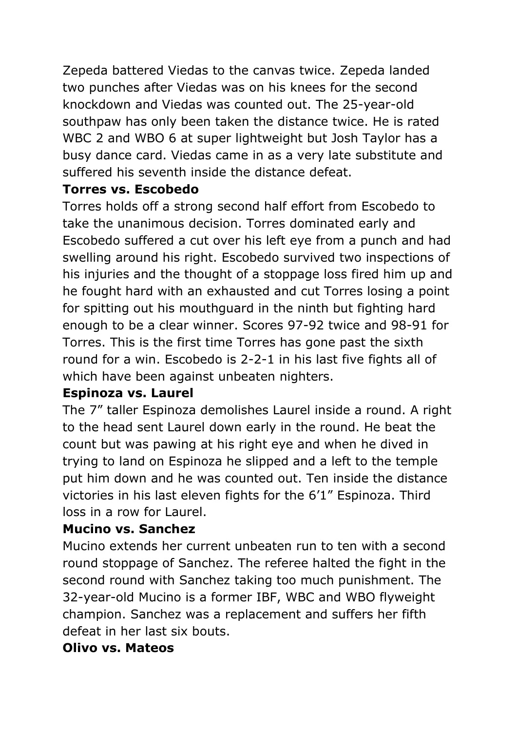Zepeda battered Viedas to the canvas twice. Zepeda landed two punches after Viedas was on his knees for the second knockdown and Viedas was counted out. The 25-year-old southpaw has only been taken the distance twice. He is rated WBC 2 and WBO 6 at super lightweight but Josh Taylor has a busy dance card. Viedas came in as a very late substitute and suffered his seventh inside the distance defeat.

### **Torres vs. Escobedo**

Torres holds off a strong second half effort from Escobedo to take the unanimous decision. Torres dominated early and Escobedo suffered a cut over his left eye from a punch and had swelling around his right. Escobedo survived two inspections of his injuries and the thought of a stoppage loss fired him up and he fought hard with an exhausted and cut Torres losing a point for spitting out his mouthguard in the ninth but fighting hard enough to be a clear winner. Scores 97-92 twice and 98-91 for Torres. This is the first time Torres has gone past the sixth round for a win. Escobedo is 2-2-1 in his last five fights all of which have been against unbeaten nighters.

#### **Espinoza vs. Laurel**

The 7" taller Espinoza demolishes Laurel inside a round. A right to the head sent Laurel down early in the round. He beat the count but was pawing at his right eye and when he dived in trying to land on Espinoza he slipped and a left to the temple put him down and he was counted out. Ten inside the distance victories in his last eleven fights for the 6'1" Espinoza. Third loss in a row for Laurel.

#### **Mucino vs. Sanchez**

Mucino extends her current unbeaten run to ten with a second round stoppage of Sanchez. The referee halted the fight in the second round with Sanchez taking too much punishment. The 32-year-old Mucino is a former IBF, WBC and WBO flyweight champion. Sanchez was a replacement and suffers her fifth defeat in her last six bouts.

#### **Olivo vs. Mateos**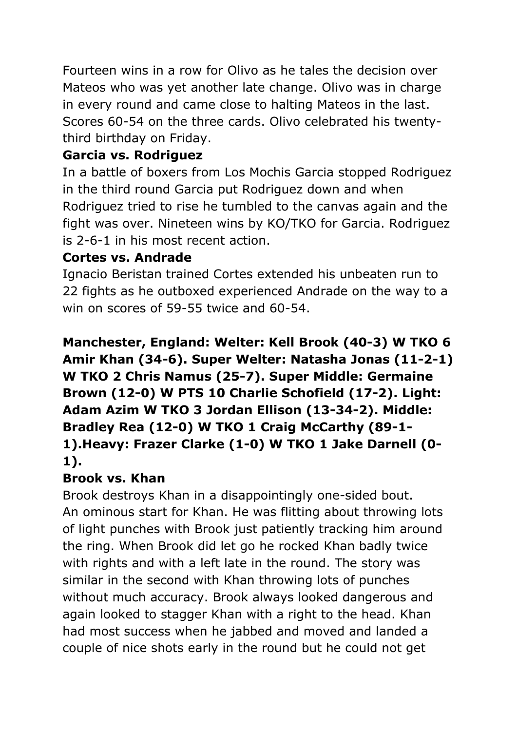Fourteen wins in a row for Olivo as he tales the decision over Mateos who was yet another late change. Olivo was in charge in every round and came close to halting Mateos in the last. Scores 60-54 on the three cards. Olivo celebrated his twentythird birthday on Friday.

## **Garcia vs. Rodriguez**

In a battle of boxers from Los Mochis Garcia stopped Rodriguez in the third round Garcia put Rodriguez down and when Rodriguez tried to rise he tumbled to the canvas again and the fight was over. Nineteen wins by KO/TKO for Garcia. Rodriguez is 2-6-1 in his most recent action.

### **Cortes vs. Andrade**

Ignacio Beristan trained Cortes extended his unbeaten run to 22 fights as he outboxed experienced Andrade on the way to a win on scores of 59-55 twice and 60-54.

## **Manchester, England: Welter: Kell Brook (40-3) W TKO 6 Amir Khan (34-6). Super Welter: Natasha Jonas (11-2-1) W TKO 2 Chris Namus (25-7). Super Middle: Germaine Brown (12-0) W PTS 10 Charlie Schofield (17-2). Light: Adam Azim W TKO 3 Jordan Ellison (13-34-2). Middle: Bradley Rea (12-0) W TKO 1 Craig McCarthy (89-1- 1).Heavy: Frazer Clarke (1-0) W TKO 1 Jake Darnell (0- 1).**

## **Brook vs. Khan**

Brook destroys Khan in a disappointingly one-sided bout. An ominous start for Khan. He was flitting about throwing lots of light punches with Brook just patiently tracking him around the ring. When Brook did let go he rocked Khan badly twice with rights and with a left late in the round. The story was similar in the second with Khan throwing lots of punches without much accuracy. Brook always looked dangerous and again looked to stagger Khan with a right to the head. Khan had most success when he jabbed and moved and landed a couple of nice shots early in the round but he could not get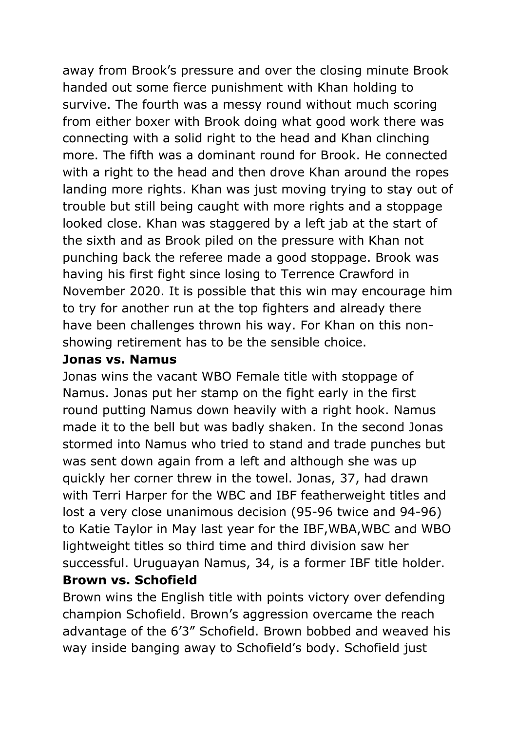away from Brook's pressure and over the closing minute Brook handed out some fierce punishment with Khan holding to survive. The fourth was a messy round without much scoring from either boxer with Brook doing what good work there was connecting with a solid right to the head and Khan clinching more. The fifth was a dominant round for Brook. He connected with a right to the head and then drove Khan around the ropes landing more rights. Khan was just moving trying to stay out of trouble but still being caught with more rights and a stoppage looked close. Khan was staggered by a left jab at the start of the sixth and as Brook piled on the pressure with Khan not punching back the referee made a good stoppage. Brook was having his first fight since losing to Terrence Crawford in November 2020. It is possible that this win may encourage him to try for another run at the top fighters and already there have been challenges thrown his way. For Khan on this nonshowing retirement has to be the sensible choice.

#### **Jonas vs. Namus**

Jonas wins the vacant WBO Female title with stoppage of Namus. Jonas put her stamp on the fight early in the first round putting Namus down heavily with a right hook. Namus made it to the bell but was badly shaken. In the second Jonas stormed into Namus who tried to stand and trade punches but was sent down again from a left and although she was up quickly her corner threw in the towel. Jonas, 37, had drawn with Terri Harper for the WBC and IBF featherweight titles and lost a very close unanimous decision (95-96 twice and 94-96) to Katie Taylor in May last year for the IBF,WBA,WBC and WBO lightweight titles so third time and third division saw her successful. Uruguayan Namus, 34, is a former IBF title holder. **Brown vs. Schofield** 

Brown wins the English title with points victory over defending champion Schofield. Brown's aggression overcame the reach advantage of the 6'3" Schofield. Brown bobbed and weaved his way inside banging away to Schofield's body. Schofield just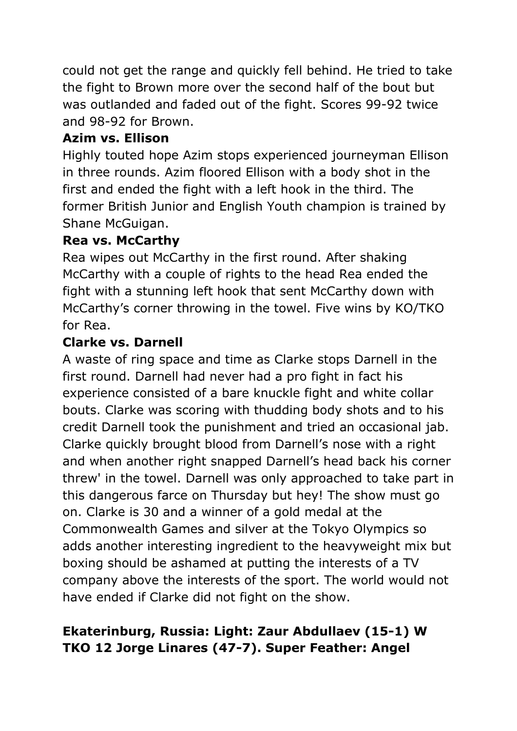could not get the range and quickly fell behind. He tried to take the fight to Brown more over the second half of the bout but was outlanded and faded out of the fight. Scores 99-92 twice and 98-92 for Brown.

### **Azim vs. Ellison**

Highly touted hope Azim stops experienced journeyman Ellison in three rounds. Azim floored Ellison with a body shot in the first and ended the fight with a left hook in the third. The former British Junior and English Youth champion is trained by Shane McGuigan.

### **Rea vs. McCarthy**

Rea wipes out McCarthy in the first round. After shaking McCarthy with a couple of rights to the head Rea ended the fight with a stunning left hook that sent McCarthy down with McCarthy's corner throwing in the towel. Five wins by KO/TKO for Rea.

### **Clarke vs. Darnell**

A waste of ring space and time as Clarke stops Darnell in the first round. Darnell had never had a pro fight in fact his experience consisted of a bare knuckle fight and white collar bouts. Clarke was scoring with thudding body shots and to his credit Darnell took the punishment and tried an occasional jab. Clarke quickly brought blood from Darnell's nose with a right and when another right snapped Darnell's head back his corner threw' in the towel. Darnell was only approached to take part in this dangerous farce on Thursday but hey! The show must go on. Clarke is 30 and a winner of a gold medal at the Commonwealth Games and silver at the Tokyo Olympics so adds another interesting ingredient to the heavyweight mix but boxing should be ashamed at putting the interests of a TV company above the interests of the sport. The world would not have ended if Clarke did not fight on the show.

## **Ekaterinburg, Russia: Light: Zaur Abdullaev (15-1) W TKO 12 Jorge Linares (47-7). Super Feather: Angel**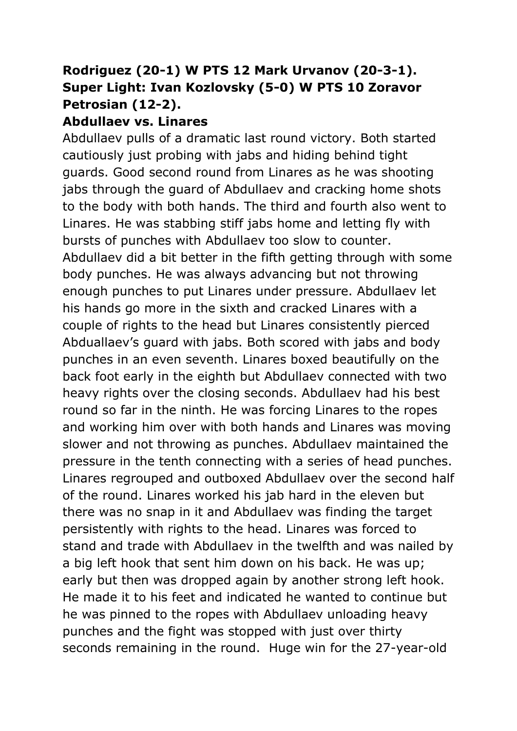## **Rodriguez (20-1) W PTS 12 Mark Urvanov (20-3-1). Super Light: Ivan Kozlovsky (5-0) W PTS 10 Zoravor Petrosian (12-2).**

#### **Abdullaev vs. Linares**

Abdullaev pulls of a dramatic last round victory. Both started cautiously just probing with jabs and hiding behind tight guards. Good second round from Linares as he was shooting jabs through the guard of Abdullaev and cracking home shots to the body with both hands. The third and fourth also went to Linares. He was stabbing stiff jabs home and letting fly with bursts of punches with Abdullaev too slow to counter. Abdullaev did a bit better in the fifth getting through with some body punches. He was always advancing but not throwing enough punches to put Linares under pressure. Abdullaev let his hands go more in the sixth and cracked Linares with a couple of rights to the head but Linares consistently pierced Abduallaev's guard with jabs. Both scored with jabs and body punches in an even seventh. Linares boxed beautifully on the back foot early in the eighth but Abdullaev connected with two heavy rights over the closing seconds. Abdullaev had his best round so far in the ninth. He was forcing Linares to the ropes and working him over with both hands and Linares was moving slower and not throwing as punches. Abdullaev maintained the pressure in the tenth connecting with a series of head punches. Linares regrouped and outboxed Abdullaev over the second half of the round. Linares worked his jab hard in the eleven but there was no snap in it and Abdullaev was finding the target persistently with rights to the head. Linares was forced to stand and trade with Abdullaev in the twelfth and was nailed by a big left hook that sent him down on his back. He was up; early but then was dropped again by another strong left hook. He made it to his feet and indicated he wanted to continue but he was pinned to the ropes with Abdullaev unloading heavy punches and the fight was stopped with just over thirty seconds remaining in the round. Huge win for the 27-year-old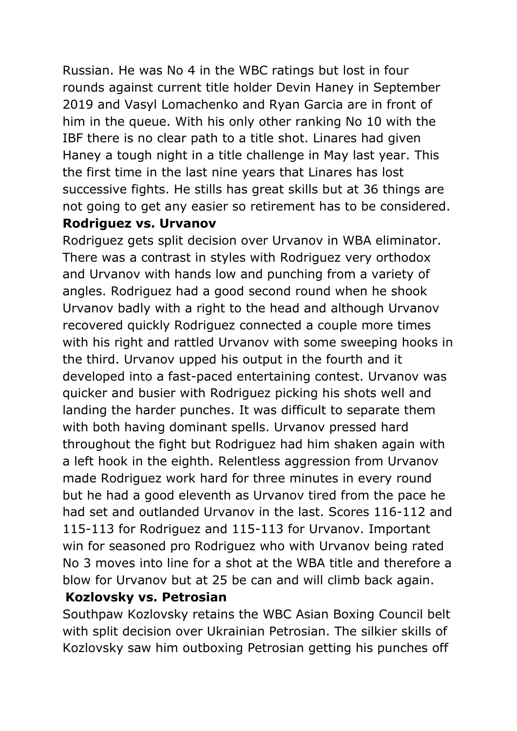Russian. He was No 4 in the WBC ratings but lost in four rounds against current title holder Devin Haney in September 2019 and Vasyl Lomachenko and Ryan Garcia are in front of him in the queue. With his only other ranking No 10 with the IBF there is no clear path to a title shot. Linares had given Haney a tough night in a title challenge in May last year. This the first time in the last nine years that Linares has lost successive fights. He stills has great skills but at 36 things are not going to get any easier so retirement has to be considered. **Rodriguez vs. Urvanov**

Rodriguez gets split decision over Urvanov in WBA eliminator. There was a contrast in styles with Rodriguez very orthodox and Urvanov with hands low and punching from a variety of angles. Rodriguez had a good second round when he shook Urvanov badly with a right to the head and although Urvanov recovered quickly Rodriguez connected a couple more times with his right and rattled Urvanov with some sweeping hooks in the third. Urvanov upped his output in the fourth and it developed into a fast-paced entertaining contest. Urvanov was quicker and busier with Rodriguez picking his shots well and landing the harder punches. It was difficult to separate them with both having dominant spells. Urvanov pressed hard throughout the fight but Rodriguez had him shaken again with a left hook in the eighth. Relentless aggression from Urvanov made Rodriguez work hard for three minutes in every round but he had a good eleventh as Urvanov tired from the pace he had set and outlanded Urvanov in the last. Scores 116-112 and 115-113 for Rodriguez and 115-113 for Urvanov. Important win for seasoned pro Rodriguez who with Urvanov being rated No 3 moves into line for a shot at the WBA title and therefore a blow for Urvanov but at 25 be can and will climb back again.

#### **Kozlovsky vs. Petrosian**

Southpaw Kozlovsky retains the WBC Asian Boxing Council belt with split decision over Ukrainian Petrosian. The silkier skills of Kozlovsky saw him outboxing Petrosian getting his punches off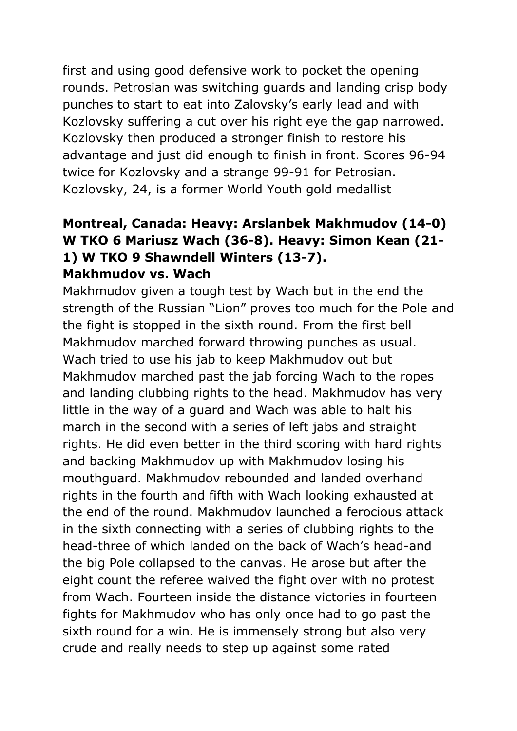first and using good defensive work to pocket the opening rounds. Petrosian was switching guards and landing crisp body punches to start to eat into Zalovsky's early lead and with Kozlovsky suffering a cut over his right eye the gap narrowed. Kozlovsky then produced a stronger finish to restore his advantage and just did enough to finish in front. Scores 96-94 twice for Kozlovsky and a strange 99-91 for Petrosian. Kozlovsky, 24, is a former World Youth gold medallist

### **Montreal, Canada: Heavy: Arslanbek Makhmudov (14-0) W TKO 6 Mariusz Wach (36-8). Heavy: Simon Kean (21- 1) W TKO 9 Shawndell Winters (13-7). Makhmudov vs. Wach**

Makhmudov given a tough test by Wach but in the end the strength of the Russian "Lion" proves too much for the Pole and the fight is stopped in the sixth round. From the first bell Makhmudov marched forward throwing punches as usual. Wach tried to use his jab to keep Makhmudov out but Makhmudov marched past the jab forcing Wach to the ropes and landing clubbing rights to the head. Makhmudov has very little in the way of a guard and Wach was able to halt his march in the second with a series of left jabs and straight rights. He did even better in the third scoring with hard rights and backing Makhmudov up with Makhmudov losing his mouthguard. Makhmudov rebounded and landed overhand rights in the fourth and fifth with Wach looking exhausted at the end of the round. Makhmudov launched a ferocious attack in the sixth connecting with a series of clubbing rights to the head-three of which landed on the back of Wach's head-and the big Pole collapsed to the canvas. He arose but after the eight count the referee waived the fight over with no protest from Wach. Fourteen inside the distance victories in fourteen fights for Makhmudov who has only once had to go past the sixth round for a win. He is immensely strong but also very crude and really needs to step up against some rated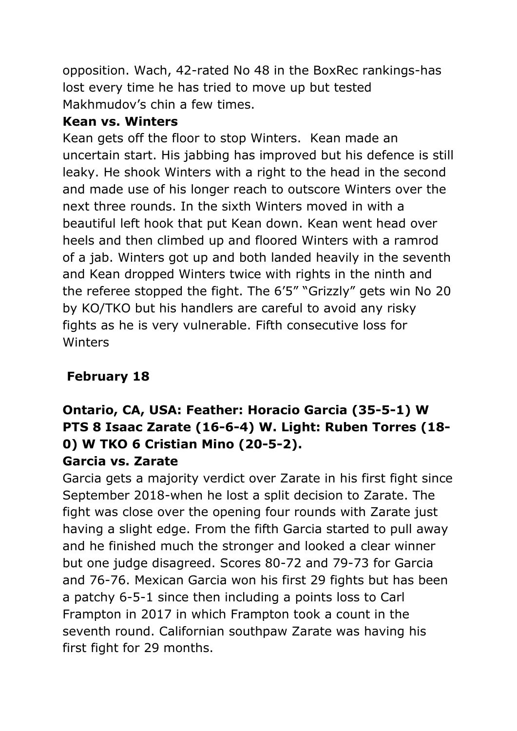opposition. Wach, 42-rated No 48 in the BoxRec rankings-has lost every time he has tried to move up but tested Makhmudov's chin a few times.

### **Kean vs. Winters**

Kean gets off the floor to stop Winters. Kean made an uncertain start. His jabbing has improved but his defence is still leaky. He shook Winters with a right to the head in the second and made use of his longer reach to outscore Winters over the next three rounds. In the sixth Winters moved in with a beautiful left hook that put Kean down. Kean went head over heels and then climbed up and floored Winters with a ramrod of a jab. Winters got up and both landed heavily in the seventh and Kean dropped Winters twice with rights in the ninth and the referee stopped the fight. The 6'5" "Grizzly" gets win No 20 by KO/TKO but his handlers are careful to avoid any risky fights as he is very vulnerable. Fifth consecutive loss for Winters

## **February 18**

### **Ontario, CA, USA: Feather: Horacio Garcia (35-5-1) W PTS 8 Isaac Zarate (16-6-4) W. Light: Ruben Torres (18- 0) W TKO 6 Cristian Mino (20-5-2). Garcia vs. Zarate**

Garcia gets a majority verdict over Zarate in his first fight since September 2018-when he lost a split decision to Zarate. The fight was close over the opening four rounds with Zarate just having a slight edge. From the fifth Garcia started to pull away and he finished much the stronger and looked a clear winner but one judge disagreed. Scores 80-72 and 79-73 for Garcia and 76-76. Mexican Garcia won his first 29 fights but has been a patchy 6-5-1 since then including a points loss to Carl Frampton in 2017 in which Frampton took a count in the seventh round. Californian southpaw Zarate was having his first fight for 29 months.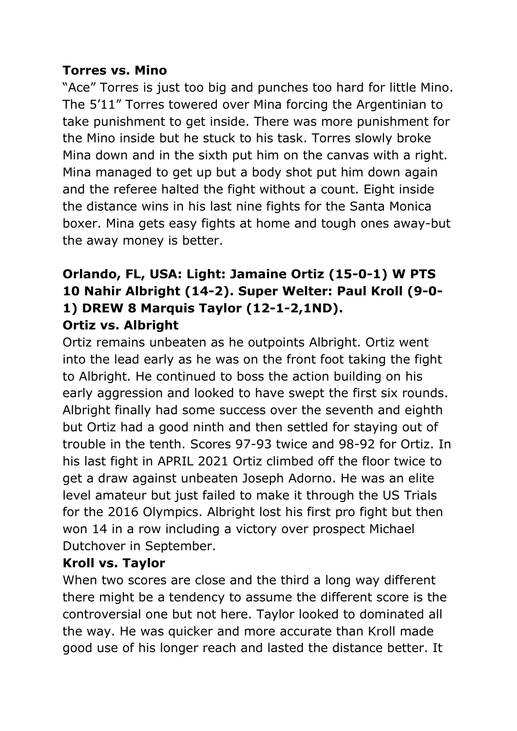#### **Torres vs. Mino**

"Ace" Torres is just too big and punches too hard for little Mino. The 5'11" Torres towered over Mina forcing the Argentinian to take punishment to get inside. There was more punishment for the Mino inside but he stuck to his task. Torres slowly broke Mina down and in the sixth put him on the canvas with a right. Mina managed to get up but a body shot put him down again and the referee halted the fight without a count. Eight inside the distance wins in his last nine fights for the Santa Monica boxer. Mina gets easy fights at home and tough ones away-but the away money is better.

### **Orlando, FL, USA: Light: Jamaine Ortiz (15-0-1) W PTS 10 Nahir Albright (14-2). Super Welter: Paul Kroll (9-0- 1) DREW 8 Marquis Taylor (12-1-2,1ND). Ortiz vs. Albright**

Ortiz remains unbeaten as he outpoints Albright. Ortiz went into the lead early as he was on the front foot taking the fight to Albright. He continued to boss the action building on his early aggression and looked to have swept the first six rounds. Albright finally had some success over the seventh and eighth but Ortiz had a good ninth and then settled for staying out of trouble in the tenth. Scores 97-93 twice and 98-92 for Ortiz. In his last fight in APRIL 2021 Ortiz climbed off the floor twice to get a draw against unbeaten Joseph Adorno. He was an elite level amateur but just failed to make it through the US Trials for the 2016 Olympics. Albright lost his first pro fight but then won 14 in a row including a victory over prospect Michael Dutchover in September.

## **Kroll vs. Taylor**

When two scores are close and the third a long way different there might be a tendency to assume the different score is the controversial one but not here. Taylor looked to dominated all the way. He was quicker and more accurate than Kroll made good use of his longer reach and lasted the distance better. It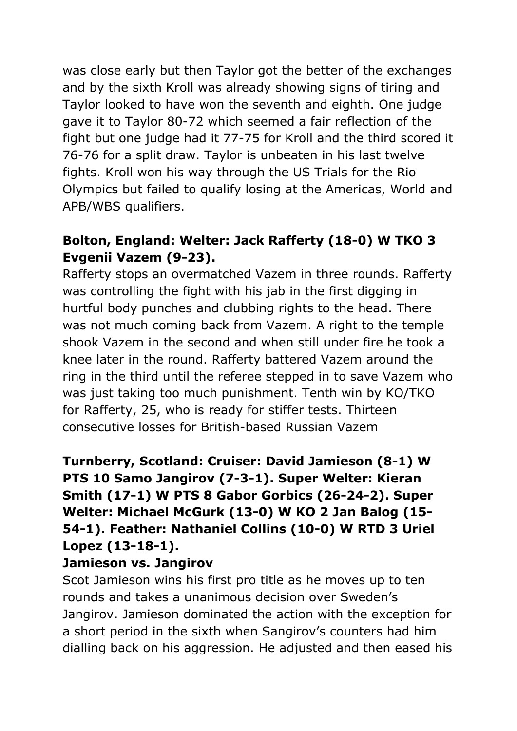was close early but then Taylor got the better of the exchanges and by the sixth Kroll was already showing signs of tiring and Taylor looked to have won the seventh and eighth. One judge gave it to Taylor 80-72 which seemed a fair reflection of the fight but one judge had it 77-75 for Kroll and the third scored it 76-76 for a split draw. Taylor is unbeaten in his last twelve fights. Kroll won his way through the US Trials for the Rio Olympics but failed to qualify losing at the Americas, World and APB/WBS qualifiers.

## **Bolton, England: Welter: Jack Rafferty (18-0) W TKO 3 Evgenii Vazem (9-23).**

Rafferty stops an overmatched Vazem in three rounds. Rafferty was controlling the fight with his jab in the first digging in hurtful body punches and clubbing rights to the head. There was not much coming back from Vazem. A right to the temple shook Vazem in the second and when still under fire he took a knee later in the round. Rafferty battered Vazem around the ring in the third until the referee stepped in to save Vazem who was just taking too much punishment. Tenth win by KO/TKO for Rafferty, 25, who is ready for stiffer tests. Thirteen consecutive losses for British-based Russian Vazem

## **Turnberry, Scotland: Cruiser: David Jamieson (8-1) W PTS 10 Samo Jangirov (7-3-1). Super Welter: Kieran Smith (17-1) W PTS 8 Gabor Gorbics (26-24-2). Super Welter: Michael McGurk (13-0) W KO 2 Jan Balog (15- 54-1). Feather: Nathaniel Collins (10-0) W RTD 3 Uriel Lopez (13-18-1).**

#### **Jamieson vs. Jangirov**

Scot Jamieson wins his first pro title as he moves up to ten rounds and takes a unanimous decision over Sweden's Jangirov. Jamieson dominated the action with the exception for a short period in the sixth when Sangirov's counters had him dialling back on his aggression. He adjusted and then eased his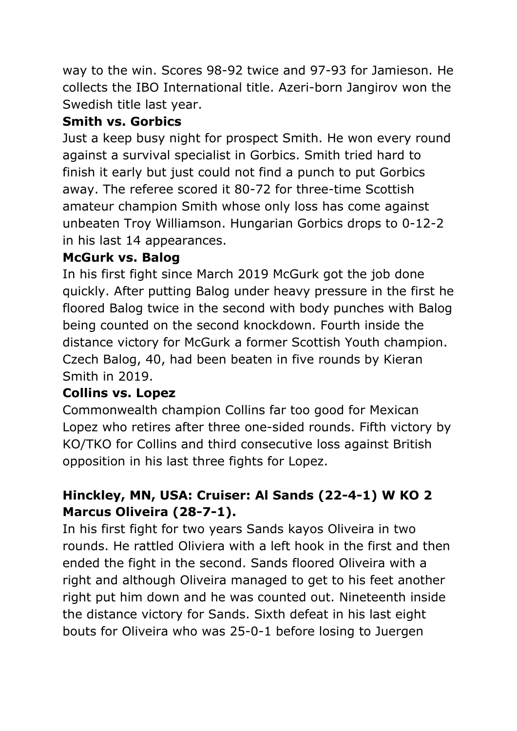way to the win. Scores 98-92 twice and 97-93 for Jamieson. He collects the IBO International title. Azeri-born Jangirov won the Swedish title last year.

## **Smith vs. Gorbics**

Just a keep busy night for prospect Smith. He won every round against a survival specialist in Gorbics. Smith tried hard to finish it early but just could not find a punch to put Gorbics away. The referee scored it 80-72 for three-time Scottish amateur champion Smith whose only loss has come against unbeaten Troy Williamson. Hungarian Gorbics drops to 0-12-2 in his last 14 appearances.

### **McGurk vs. Balog**

In his first fight since March 2019 McGurk got the job done quickly. After putting Balog under heavy pressure in the first he floored Balog twice in the second with body punches with Balog being counted on the second knockdown. Fourth inside the distance victory for McGurk a former Scottish Youth champion. Czech Balog, 40, had been beaten in five rounds by Kieran Smith in 2019.

## **Collins vs. Lopez**

Commonwealth champion Collins far too good for Mexican Lopez who retires after three one-sided rounds. Fifth victory by KO/TKO for Collins and third consecutive loss against British opposition in his last three fights for Lopez.

## **Hinckley, MN, USA: Cruiser: Al Sands (22-4-1) W KO 2 Marcus Oliveira (28-7-1).**

In his first fight for two years Sands kayos Oliveira in two rounds. He rattled Oliviera with a left hook in the first and then ended the fight in the second. Sands floored Oliveira with a right and although Oliveira managed to get to his feet another right put him down and he was counted out. Nineteenth inside the distance victory for Sands. Sixth defeat in his last eight bouts for Oliveira who was 25-0-1 before losing to Juergen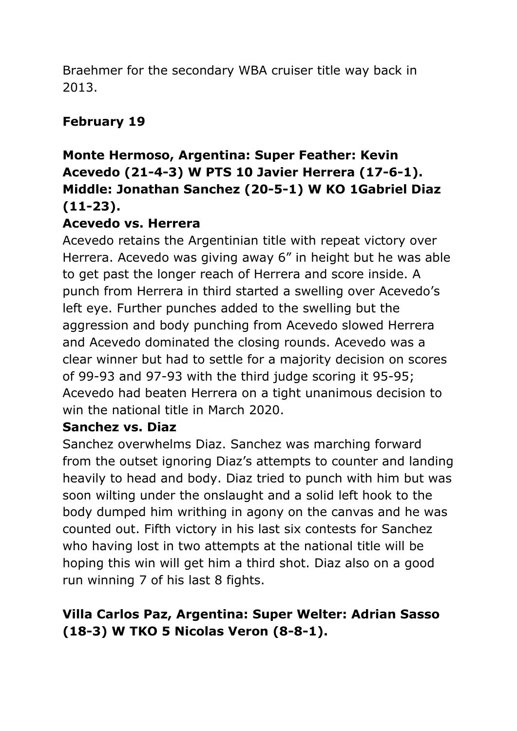Braehmer for the secondary WBA cruiser title way back in 2013.

## **February 19**

## **Monte Hermoso, Argentina: Super Feather: Kevin Acevedo (21-4-3) W PTS 10 Javier Herrera (17-6-1). Middle: Jonathan Sanchez (20-5-1) W KO 1Gabriel Diaz (11-23).**

#### **Acevedo vs. Herrera**

Acevedo retains the Argentinian title with repeat victory over Herrera. Acevedo was giving away 6" in height but he was able to get past the longer reach of Herrera and score inside. A punch from Herrera in third started a swelling over Acevedo's left eye. Further punches added to the swelling but the aggression and body punching from Acevedo slowed Herrera and Acevedo dominated the closing rounds. Acevedo was a clear winner but had to settle for a majority decision on scores of 99-93 and 97-93 with the third judge scoring it 95-95; Acevedo had beaten Herrera on a tight unanimous decision to win the national title in March 2020.

#### **Sanchez vs. Diaz**

Sanchez overwhelms Diaz. Sanchez was marching forward from the outset ignoring Diaz's attempts to counter and landing heavily to head and body. Diaz tried to punch with him but was soon wilting under the onslaught and a solid left hook to the body dumped him writhing in agony on the canvas and he was counted out. Fifth victory in his last six contests for Sanchez who having lost in two attempts at the national title will be hoping this win will get him a third shot. Diaz also on a good run winning 7 of his last 8 fights.

## **Villa Carlos Paz, Argentina: Super Welter: Adrian Sasso (18-3) W TKO 5 Nicolas Veron (8-8-1).**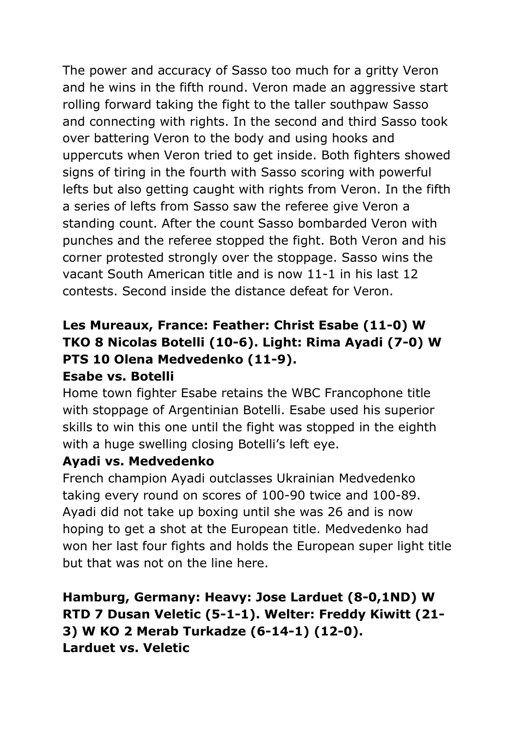The power and accuracy of Sasso too much for a gritty Veron and he wins in the fifth round. Veron made an aggressive start rolling forward taking the fight to the taller southpaw Sasso and connecting with rights. In the second and third Sasso took over battering Veron to the body and using hooks and uppercuts when Veron tried to get inside. Both fighters showed signs of tiring in the fourth with Sasso scoring with powerful lefts but also getting caught with rights from Veron. In the fifth a series of lefts from Sasso saw the referee give Veron a standing count. After the count Sasso bombarded Veron with punches and the referee stopped the fight. Both Veron and his corner protested strongly over the stoppage. Sasso wins the vacant South American title and is now 11-1 in his last 12 contests. Second inside the distance defeat for Veron.

# **Les Mureaux, France: Feather: Christ Esabe (11-0) W TKO 8 Nicolas Botelli (10-6). Light: Rima Ayadi (7-0) W PTS 10 Olena Medvedenko (11-9).**

#### **Esabe vs. Botelli**

Home town fighter Esabe retains the WBC Francophone title with stoppage of Argentinian Botelli. Esabe used his superior skills to win this one until the fight was stopped in the eighth with a huge swelling closing Botelli's left eye.

## **Ayadi vs. Medvedenko**

French champion Ayadi outclasses Ukrainian Medvedenko taking every round on scores of 100-90 twice and 100-89. Ayadi did not take up boxing until she was 26 and is now hoping to get a shot at the European title. Medvedenko had won her last four fights and holds the European super light title but that was not on the line here.

**Hamburg, Germany: Heavy: Jose Larduet (8-0,1ND) W RTD 7 Dusan Veletic (5-1-1). Welter: Freddy Kiwitt (21- 3) W KO 2 Merab Turkadze (6-14-1) (12-0). Larduet vs. Veletic**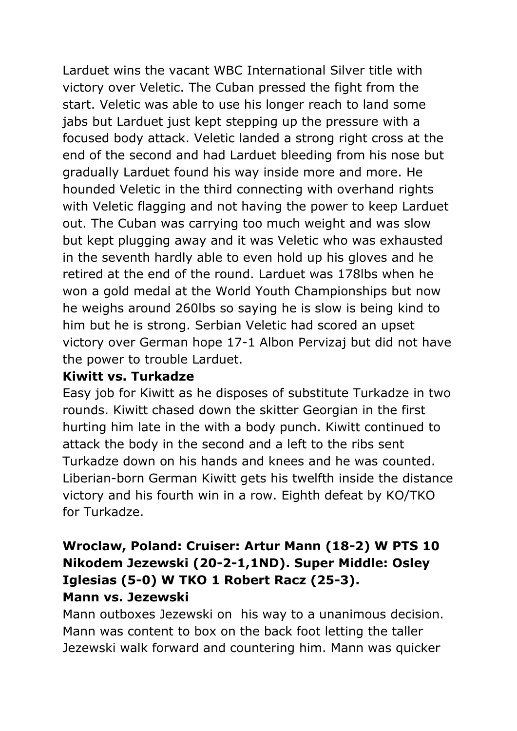Larduet wins the vacant WBC International Silver title with victory over Veletic. The Cuban pressed the fight from the start. Veletic was able to use his longer reach to land some jabs but Larduet just kept stepping up the pressure with a focused body attack. Veletic landed a strong right cross at the end of the second and had Larduet bleeding from his nose but gradually Larduet found his way inside more and more. He hounded Veletic in the third connecting with overhand rights with Veletic flagging and not having the power to keep Larduet out. The Cuban was carrying too much weight and was slow but kept plugging away and it was Veletic who was exhausted in the seventh hardly able to even hold up his gloves and he retired at the end of the round. Larduet was 178lbs when he won a gold medal at the World Youth Championships but now he weighs around 260lbs so saying he is slow is being kind to him but he is strong. Serbian Veletic had scored an upset victory over German hope 17-1 Albon Pervizaj but did not have the power to trouble Larduet.

#### **Kiwitt vs. Turkadze**

Easy job for Kiwitt as he disposes of substitute Turkadze in two rounds. Kiwitt chased down the skitter Georgian in the first hurting him late in the with a body punch. Kiwitt continued to attack the body in the second and a left to the ribs sent Turkadze down on his hands and knees and he was counted. Liberian-born German Kiwitt gets his twelfth inside the distance victory and his fourth win in a row. Eighth defeat by KO/TKO for Turkadze.

### **Wroclaw, Poland: Cruiser: Artur Mann (18-2) W PTS 10 Nikodem Jezewski (20-2-1,1ND). Super Middle: Osley Iglesias (5-0) W TKO 1 Robert Racz (25-3). Mann vs. Jezewski**

Mann outboxes Jezewski on his way to a unanimous decision. Mann was content to box on the back foot letting the taller Jezewski walk forward and countering him. Mann was quicker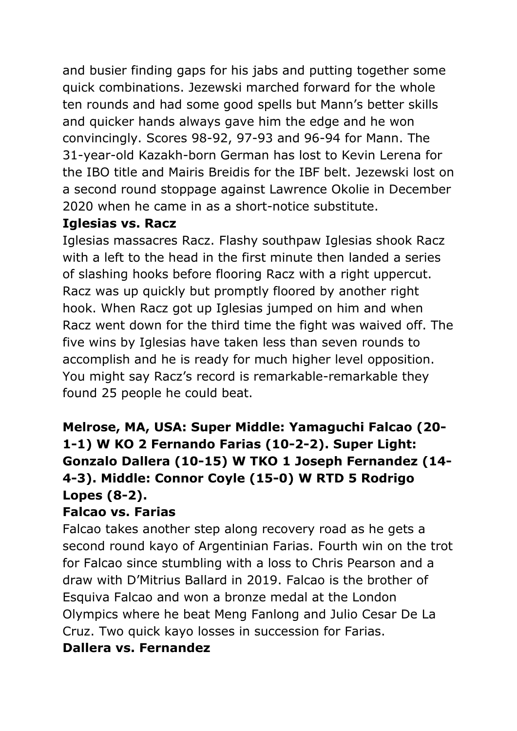and busier finding gaps for his jabs and putting together some quick combinations. Jezewski marched forward for the whole ten rounds and had some good spells but Mann's better skills and quicker hands always gave him the edge and he won convincingly. Scores 98-92, 97-93 and 96-94 for Mann. The 31-year-old Kazakh-born German has lost to Kevin Lerena for the IBO title and Mairis Breidis for the IBF belt. Jezewski lost on a second round stoppage against Lawrence Okolie in December 2020 when he came in as a short-notice substitute.

#### **Iglesias vs. Racz**

Iglesias massacres Racz. Flashy southpaw Iglesias shook Racz with a left to the head in the first minute then landed a series of slashing hooks before flooring Racz with a right uppercut. Racz was up quickly but promptly floored by another right hook. When Racz got up Iglesias jumped on him and when Racz went down for the third time the fight was waived off. The five wins by Iglesias have taken less than seven rounds to accomplish and he is ready for much higher level opposition. You might say Racz's record is remarkable-remarkable they found 25 people he could beat.

## **Melrose, MA, USA: Super Middle: Yamaguchi Falcao (20- 1-1) W KO 2 Fernando Farias (10-2-2). Super Light: Gonzalo Dallera (10-15) W TKO 1 Joseph Fernandez (14- 4-3). Middle: Connor Coyle (15-0) W RTD 5 Rodrigo Lopes (8-2).**

#### **Falcao vs. Farias**

Falcao takes another step along recovery road as he gets a second round kayo of Argentinian Farias. Fourth win on the trot for Falcao since stumbling with a loss to Chris Pearson and a draw with D'Mitrius Ballard in 2019. Falcao is the brother of Esquiva Falcao and won a bronze medal at the London Olympics where he beat Meng Fanlong and Julio Cesar De La Cruz. Two quick kayo losses in succession for Farias.

#### **Dallera vs. Fernandez**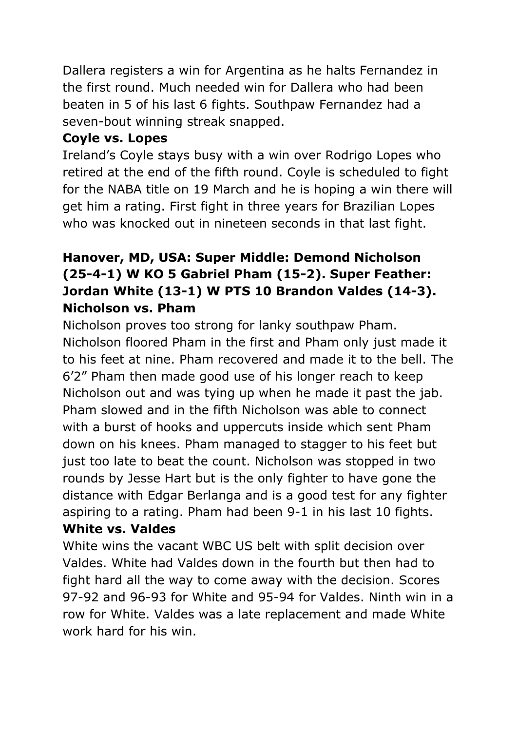Dallera registers a win for Argentina as he halts Fernandez in the first round. Much needed win for Dallera who had been beaten in 5 of his last 6 fights. Southpaw Fernandez had a seven-bout winning streak snapped.

## **Coyle vs. Lopes**

Ireland's Coyle stays busy with a win over Rodrigo Lopes who retired at the end of the fifth round. Coyle is scheduled to fight for the NABA title on 19 March and he is hoping a win there will get him a rating. First fight in three years for Brazilian Lopes who was knocked out in nineteen seconds in that last fight.

## **Hanover, MD, USA: Super Middle: Demond Nicholson (25-4-1) W KO 5 Gabriel Pham (15-2). Super Feather: Jordan White (13-1) W PTS 10 Brandon Valdes (14-3). Nicholson vs. Pham**

Nicholson proves too strong for lanky southpaw Pham. Nicholson floored Pham in the first and Pham only just made it to his feet at nine. Pham recovered and made it to the bell. The 6'2" Pham then made good use of his longer reach to keep Nicholson out and was tying up when he made it past the jab. Pham slowed and in the fifth Nicholson was able to connect with a burst of hooks and uppercuts inside which sent Pham down on his knees. Pham managed to stagger to his feet but just too late to beat the count. Nicholson was stopped in two rounds by Jesse Hart but is the only fighter to have gone the distance with Edgar Berlanga and is a good test for any fighter aspiring to a rating. Pham had been 9-1 in his last 10 fights.

## **White vs. Valdes**

White wins the vacant WBC US belt with split decision over Valdes. White had Valdes down in the fourth but then had to fight hard all the way to come away with the decision. Scores 97-92 and 96-93 for White and 95-94 for Valdes. Ninth win in a row for White. Valdes was a late replacement and made White work hard for his win.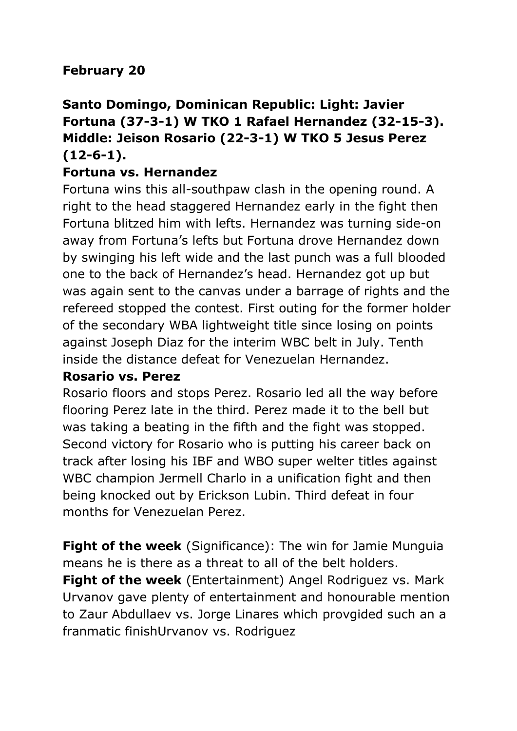## **February 20**

## **Santo Domingo, Dominican Republic: Light: Javier Fortuna (37-3-1) W TKO 1 Rafael Hernandez (32-15-3). Middle: Jeison Rosario (22-3-1) W TKO 5 Jesus Perez (12-6-1).**

#### **Fortuna vs. Hernandez**

Fortuna wins this all-southpaw clash in the opening round. A right to the head staggered Hernandez early in the fight then Fortuna blitzed him with lefts. Hernandez was turning side-on away from Fortuna's lefts but Fortuna drove Hernandez down by swinging his left wide and the last punch was a full blooded one to the back of Hernandez's head. Hernandez got up but was again sent to the canvas under a barrage of rights and the refereed stopped the contest. First outing for the former holder of the secondary WBA lightweight title since losing on points against Joseph Diaz for the interim WBC belt in July. Tenth inside the distance defeat for Venezuelan Hernandez.

#### **Rosario vs. Perez**

Rosario floors and stops Perez. Rosario led all the way before flooring Perez late in the third. Perez made it to the bell but was taking a beating in the fifth and the fight was stopped. Second victory for Rosario who is putting his career back on track after losing his IBF and WBO super welter titles against WBC champion Jermell Charlo in a unification fight and then being knocked out by Erickson Lubin. Third defeat in four months for Venezuelan Perez.

**Fight of the week** (Significance): The win for Jamie Munguia means he is there as a threat to all of the belt holders. **Fight of the week** (Entertainment) Angel Rodriguez vs. Mark Urvanov gave plenty of entertainment and honourable mention to Zaur Abdullaev vs. Jorge Linares which provgided such an a franmatic finishUrvanov vs. Rodriguez